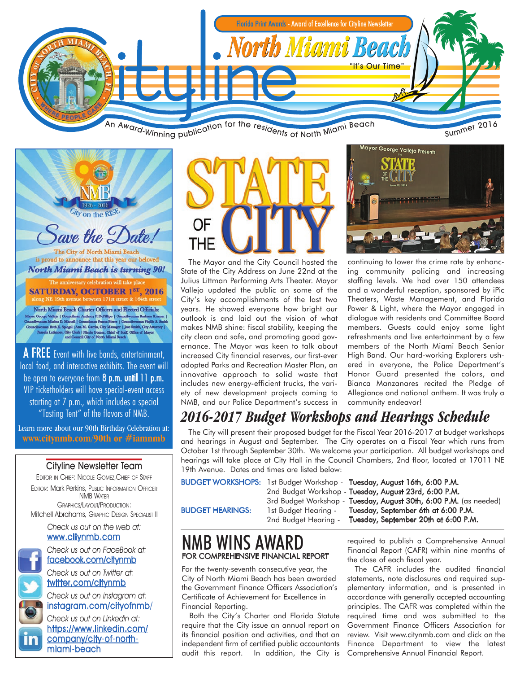

 $\psi$  on the RIS ) ave the  $\mathcal{D}$ ate! The City of North Miami Beach is proud to announce that this year our beloved **North Miami Beach is turning 90!** miversary celebration will tal

**SATURDAY, OCTOBER 1ST, 2016** 

North Miami Beach Charter Officers and Elected Officials: NOTED MEASURE DESCRIPTIONS AND RECORD UNIVERSITY OF CORPORATION CONSUMERS AND SURFACE CONSULTING THE CONSULTING CONSULTING SURFACE CONSULTING SURFACE CONSULTING SURFACE CONSULTING SURFACE CONSULTING SURFACE CONSULTING SURF

A FREE Event with live bands, entertainment, local food, and interactive exhibits. The event will be open to everyone from 8 p.m. until 11 p.m. VIP ticketholders will have special-event access starting at 7 p.m., which includes a special "Tasting Tent" of the flavors of NMB.

Learn more about our 90th Birthday Celebration at: **www.citynmb.com/90th or #iamnmb**

#### Cityline Newsletter Team

EDITOR IN CHIEF: NICOLE GOMEZ,CHIEF OF STAFF EDITOR: Mark Perkins, PUBLIC INFORMATION OFFICER NMB WATER GRAPHICS/LAYOUT/PRODUCTION: Mitchell Abrahams, GRAPHIC DESIGN SPECIALIST II

> Check us out on the web at: www.citynmb.com

Check us out on FaceBook at: facebook.com/citynmb Check us out on Twitter at:

twitter.com/citynmb

Check us out on instagram at: instagram.com/cityofnmb/

Check us out on Linkedin at: https://www.linkedin.com/ company/city-of-northmiami-beach



The Mayor and the City Council hosted the State of the City Address on June 22nd at the Julius Littman Performing Arts Theater. Mayor Vallejo updated the public on some of the City's key accomplishments of the last two years. He showed everyone how bright our outlook is and laid out the vision of what makes NMB shine: fiscal stability, keeping the city clean and safe, and promoting good governance. The Mayor was keen to talk about increased City financial reserves, our first-ever adopted Parks and Recreation Master Plan, an innovative approach to solid waste that includes new energy-efficient trucks, the variety of new development projects coming to NMB, and our Police Department's success in



continuing to lower the crime rate by enhancing community policing and increasing staffing levels. We had over 150 attendees and a wonderful reception, sponsored by iPic Theaters, Waste Management, and Florida Power & Light, where the Mayor engaged in dialogue with residents and Committee Board members. Guests could enjoy some light refreshments and live entertainment by a few members of the North Miami Beach Senior High Band. Our hard-working Explorers ushered in everyone, the Police Department's Honor Guard presented the colors, and Bianca Manzanares recited the Pledge of Allegiance and national anthem. It was truly a community endeavor!

### *2016-2017 Budget Workshops and Hearings Schedule*

The City will present their proposed budget for the Fiscal Year 2016-2017 at budget workshops and hearings in August and September. The City operates on a Fiscal Year which runs from October 1st through September 30th. We welcome your participation. All budget workshops and hearings will take place at City Hall in the Council Chambers, 2nd floor, located at 17011 NE 19th Avenue. Dates and times are listed below:

BUDGET WORKSHOPS: 1st Budget Workshop - Tuesday, August 16th, 6:00 P.M. 2nd Budget Workshop - Tuesday, August 23rd, 6:00 P.M. 3rd Budget Workshop - Tuesday, August 30th, 6:00 P.M. (as needed) BUDGET HEARINGS: 1st Budget Hearing - Tuesday, September 6th at 6:00 P.M. 2nd Budget Hearing - Tuesday, September 20th at 6:00 P.M.

### NMB WINS AWARD FOR COMPREHENSIVE FINANCIAL REPORT

For the twenty-seventh consecutive year, the City of North Miami Beach has been awarded the Government Finance Officers Association's Certificate of Achievement for Excellence in Financial Reporting.

Both the City's Charter and Florida Statute require that the City issue an annual report on its financial position and activities, and that an independent firm of certified public accountants audit this report. In addition, the City is required to publish a Comprehensive Annual Financial Report (CAFR) within nine months of the close of each fiscal year.

The CAFR includes the audited financial statements, note disclosures and required supplementary information, and is presented in accordance with generally accepted accounting principles. The CAFR was completed within the required time and was submitted to the Government Finance Officers Association for review. Visit www.citynmb.com and click on the Finance Department to view the latest Comprehensive Annual Financial Report.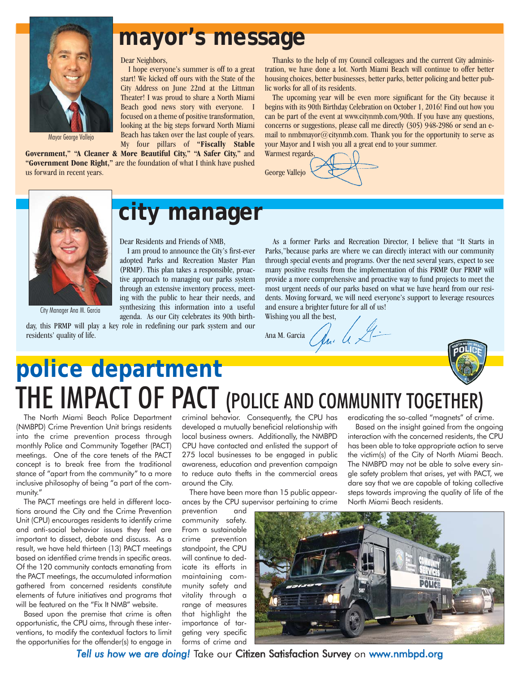

### **mayor's message**

Dear Neighbors,

I hope everyone's summer is off to a great start! We kicked off ours with the State of the City Address on June 22nd at the Littman Theater! I was proud to share a North Miami Beach good news story with everyone. I focused on a theme of positive transformation, looking at the big steps forward North Miami Beach has taken over the last couple of years.

My four pillars of **"Fiscally Stable Government," "A Cleaner & More Beautiful City," "A Safer City,"** and **"Government Done Right,"** are the foundation of what I think have pushed us forward in recent years.

Thanks to the help of my Council colleagues and the current City administration, we have done a lot. North Miami Beach will continue to offer better housing choices, better businesses, better parks, better policing and better public works for all of its residents.

The upcoming year will be even more significant for the City because it begins with its 90th Birthday Celebration on October 1, 2016! Find out how you can be part of the event at www.citynmb.com/90th. If you have any questions, concerns or suggestions, please call me directly (305) 948-2986 or send an email to nmbmayor@citynmb.com. Thank you for the opportunity to serve as your Mayor and I wish you all a great end to your summer. Warmest regards,

George Vallejo

City Manager Ana M. Garcia

## **city manager**

Dear Residents and Friends of NMB,

I am proud to announce the City's first-ever adopted Parks and Recreation Master Plan (PRMP). This plan takes a responsible, proactive approach to managing our parks system through an extensive inventory process, meeting with the public to hear their needs, and synthesizing this information into a useful agenda. As our City celebrates its 90th birth-

day, this PRMP will play a key role in redefining our park system and our residents' quality of life.

As a former Parks and Recreation Director, I believe that "It Starts in Parks,"because parks are where we can directly interact with our community through special events and programs. Over the next several years, expect to see many positive results from the implementation of this PRMP. Our PRMP will provide a more comprehensive and proactive way to fund projects to meet the most urgent needs of our parks based on what we have heard from our residents. Moving forward, we will need everyone's support to leverage resources and ensure a brighter future for all of us!

Wishing you all the best,

Ana M. Garcia  $\mathcal{A}_{n}$   $\mathcal{A}_{n}$ 



# **police department** THE IMPACT OF PACT (POLICE AND COMMUNITY TOGETHER)

The North Miami Beach Police Department (NMBPD) Crime Prevention Unit brings residents into the crime prevention process through monthly Police and Community Together (PACT) meetings. One of the core tenets of the PACT concept is to break free from the traditional stance of "apart from the community" to a more inclusive philosophy of being "a part of the community."

The PACT meetings are held in different locations around the City and the Crime Prevention Unit (CPU) encourages residents to identify crime and anti-social behavior issues they feel are important to dissect, debate and discuss. As a result, we have held thirteen (13) PACT meetings based on identified crime trends in specific areas. Of the 120 community contacts emanating from the PACT meetings, the accumulated information gathered from concerned residents constitute elements of future initiatives and programs that will be featured on the "Fix It NMB" website.

Based upon the premise that crime is often opportunistic, the CPU aims, through these interventions, to modify the contextual factors to limit the opportunities for the offender(s) to engage in criminal behavior. Consequently, the CPU has developed a mutually beneficial relationship with local business owners. Additionally, the NMBPD CPU have contacted and enlisted the support of 275 local businesses to be engaged in public awareness, education and prevention campaign to reduce auto thefts in the commercial areas around the City.

There have been more than 15 public appearances by the CPU supervisor pertaining to crime

prevention and community safety. From a sustainable crime prevention standpoint, the CPU will continue to dedicate its efforts in maintaining community safety and vitality through a range of measures that highlight the importance of targeting very specific forms of crime and

eradicating the so-called "magnets" of crime.

Based on the insight gained from the ongoing interaction with the concerned residents, the CPU has been able to take appropriate action to serve the victim(s) of the City of North Miami Beach. The NMBPD may not be able to solve every single safety problem that arises, yet with PACT, we dare say that we are capable of taking collective steps towards improving the quality of life of the North Miami Beach residents.



*Tell us how we are doing!* Take our Citizen Satisfaction Survey on www.nmbpd.org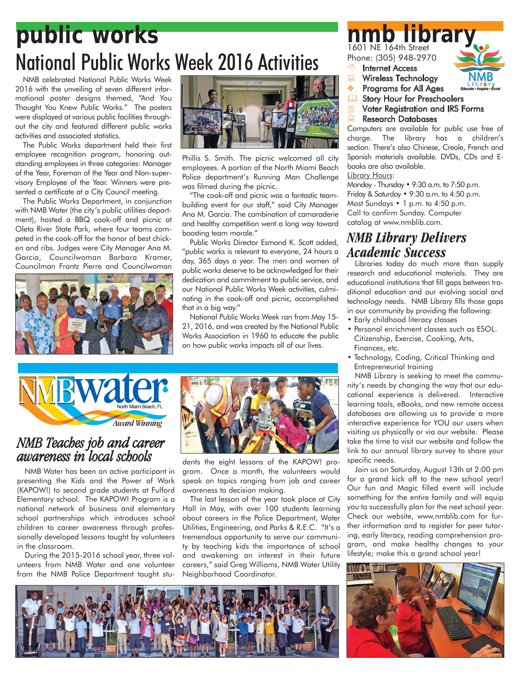# **public works nmb library** National Public Works Week 2016 Activities

NMB celebrated National Public Works Week 2016 with the unveiling of seven different informational poster designs themed, "And You Thought You Knew Public Works." The posters were displayed at various public facilities throughout the city and featured different public works activities and associated statistics.

The Public Works department held their first employee recognition program, honoring outstanding employees in three categories: Manager of the Year, Foreman of the Year and Non-supervisory Employee of the Year. Winners were presented a certificate at a City Council meeting.

The Public Works Department, in conjunction with NMB Water (the city's public utilities department), hosted a BBQ cook-off and picnic at Oleta River State Park, where four teams competed in the cook-off for the honor of best chicken and ribs. Judges were City Manager Ana M. Garcia, Councilwoman Barbara Kramer, Councilman Frantz Pierre and Councilwoman





Phillis S. Smith. The picnic welcomed all city employees. A portion of the North Miami Beach Police department's Running Man Challenge was filmed during the picnic.

"The cook-off and picnic was a fantastic teambuilding event for our staff," said City Manager Ana M. Garcia. The combination of camaraderie and healthy competition went a long way toward boosting team morale."

Public Works Director Esmond K. Scott added, "public works is relevant to everyone, 24 hours a day, 365 days a year. The men and women of public works deserve to be acknowledged for their dedication and commitment to public service, and our National Public Works Week activities, culminating in the cook-off and picnic, accomplished that in a big way."

National Public Works Week ran from May 15- 21, 2016, and was created by the National Public Works Association in 1960 to educate the public on how public works impacts all of our lives.



### *NMB Teaches job and career awareness in local schools*

NMB Water has been an active participant in presenting the Kids and the Power of Work (KAPOW!) to second grade students at Fulford Elementary school. The KAPOW! Program is a national network of business and elementary school partnerships which introduces school children to career awareness through professionally developed lessons taught by volunteers in the classroom.

During the 2015-2016 school year, three volunteers from NMB Water and one volunteer from the NMB Police Department taught stu-



dents the eight lessons of the KAPOW! program. Once a month, the volunteers would speak on topics ranging from job and career awareness to decision making.

The last lesson of the year took place at City Hall in May, with over 100 students learning about careers in the Police Department, Water Utilities, Engineering, and Parks & R.E.C. "It's a tremendous opportunity to serve our community by teaching kids the importance of school and awakening an interest in their future careers," said Greg Williams, NMB Water Utility Neighborhood Coordinator.



## 1601 NE 164th Street

Phone: (305) 948-2970

- **<sup><sup>t</sup> Internet Access**</sup>
- Wireless Technology
- ❖ Programs for All Ages
- **Q** Story Hour for Preschoolers
- **Voter Registration and IRS Forms**

#### Research Databases

Computers are available for public use free of charge. The library has a children's section. There's also Chinese, Creole, French and Spanish materials available. DVDs, CDs and Ebooks are also available.

Library Hours:

Monday - Thursday • 9:30 a.m. to 7:50 p.m. Friday & Saturday • 9:30 a.m. to 4:50 p.m. Most Sundays • 1 p.m. to 4:50 p.m. Call to confirm Sunday. Computer catalog at www.nmblib.com.

#### *NMB Library Delivers Academic Success*

Libraries today do much more than supply research and educational materials. They are educational institutions that fill gaps between traditional education and our evolving social and technology needs. NMB Library fills those gaps in our community by providing the following:

- Early childhood literacy classes
- Personal enrichment classes such as ESOL. Citizenship, Exercise, Cooking, Arts, Finances, etc.
- Technology, Coding, Critical Thinking and Entrepreneurial training

NMB Library is seeking to meet the community's needs by changing the way that our educational experience is delivered. Interactive learning tools, eBooks, and new remote access databases are allowing us to provide a more interactive experience for YOU our users when visiting us physically or via our website. Please take the time to visit our website and follow the link to our annual library survey to share your specific needs.

Join us on Saturday, August 13th at 2:00 pm for a grand kick off to the new school year! Our fun and Magic filled event will include something for the entire family and will equip you to successfully plan for the next school year. Check our website, www.nmblib.com for further information and to register for peer tutoring, early literacy, reading comprehension program, and make healthy changes to your lifestyle; make this a grand school year!